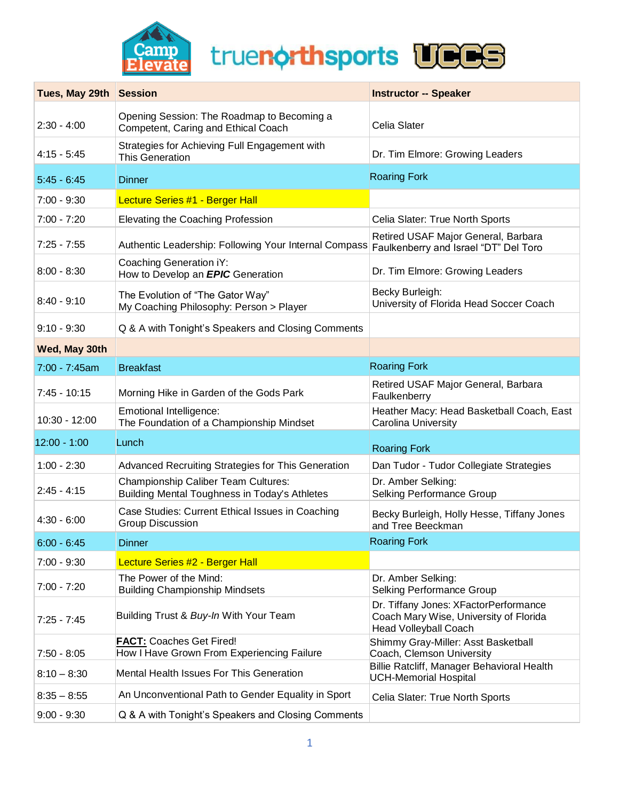



| Tues, May 29th Session |                                                                                             | <b>Instructor -- Speaker</b>                                                                                    |
|------------------------|---------------------------------------------------------------------------------------------|-----------------------------------------------------------------------------------------------------------------|
| $2:30 - 4:00$          | Opening Session: The Roadmap to Becoming a<br>Competent, Caring and Ethical Coach           | Celia Slater                                                                                                    |
| $4:15 - 5:45$          | Strategies for Achieving Full Engagement with<br><b>This Generation</b>                     | Dr. Tim Elmore: Growing Leaders                                                                                 |
| $5:45 - 6:45$          | <b>Dinner</b>                                                                               | <b>Roaring Fork</b>                                                                                             |
| $7:00 - 9:30$          | Lecture Series #1 - Berger Hall                                                             |                                                                                                                 |
| $7:00 - 7:20$          | Elevating the Coaching Profession                                                           | Celia Slater: True North Sports                                                                                 |
| $7:25 - 7:55$          | Authentic Leadership: Following Your Internal Compass                                       | Retired USAF Major General, Barbara<br>Faulkenberry and Israel "DT" Del Toro                                    |
| $8:00 - 8:30$          | Coaching Generation iY:<br>How to Develop an <b>EPIC</b> Generation                         | Dr. Tim Elmore: Growing Leaders                                                                                 |
| $8:40 - 9:10$          | The Evolution of "The Gator Way"<br>My Coaching Philosophy: Person > Player                 | Becky Burleigh:<br>University of Florida Head Soccer Coach                                                      |
| $9:10 - 9:30$          | Q & A with Tonight's Speakers and Closing Comments                                          |                                                                                                                 |
| Wed, May 30th          |                                                                                             |                                                                                                                 |
| $7:00 - 7:45$ am       | <b>Breakfast</b>                                                                            | <b>Roaring Fork</b>                                                                                             |
| $7:45 - 10:15$         | Morning Hike in Garden of the Gods Park                                                     | Retired USAF Major General, Barbara<br>Faulkenberry                                                             |
| 10:30 - 12:00          | Emotional Intelligence:<br>The Foundation of a Championship Mindset                         | Heather Macy: Head Basketball Coach, East<br>Carolina University                                                |
| $12:00 - 1:00$         | Lunch                                                                                       | <b>Roaring Fork</b>                                                                                             |
| $1:00 - 2:30$          | Advanced Recruiting Strategies for This Generation                                          | Dan Tudor - Tudor Collegiate Strategies                                                                         |
| $2:45 - 4:15$          | <b>Championship Caliber Team Cultures:</b><br>Building Mental Toughness in Today's Athletes | Dr. Amber Selking:<br>Selking Performance Group                                                                 |
| $4:30 - 6:00$          | Case Studies: Current Ethical Issues in Coaching<br><b>Group Discussion</b>                 | Becky Burleigh, Holly Hesse, Tiffany Jones<br>and Tree Beeckman                                                 |
| $6:00 - 6:45$          | <b>Dinner</b>                                                                               | <b>Roaring Fork</b>                                                                                             |
| $7:00 - 9:30$          | Lecture Series #2 - Berger Hall                                                             |                                                                                                                 |
| $7:00 - 7:20$          | The Power of the Mind:<br><b>Building Championship Mindsets</b>                             | Dr. Amber Selking:<br>Selking Performance Group                                                                 |
| $7:25 - 7:45$          | Building Trust & Buy-In With Your Team                                                      | Dr. Tiffany Jones: XFactorPerformance<br>Coach Mary Wise, University of Florida<br><b>Head Volleyball Coach</b> |
| $7:50 - 8:05$          | <b>FACT: Coaches Get Fired!</b><br>How I Have Grown From Experiencing Failure               | Shimmy Gray-Miller: Asst Basketball<br>Coach, Clemson University                                                |
| $8:10 - 8:30$          | Mental Health Issues For This Generation                                                    | Billie Ratcliff, Manager Behavioral Health<br><b>UCH-Memorial Hospital</b>                                      |
| $8:35 - 8:55$          | An Unconventional Path to Gender Equality in Sport                                          | Celia Slater: True North Sports                                                                                 |
| $9:00 - 9:30$          | Q & A with Tonight's Speakers and Closing Comments                                          |                                                                                                                 |